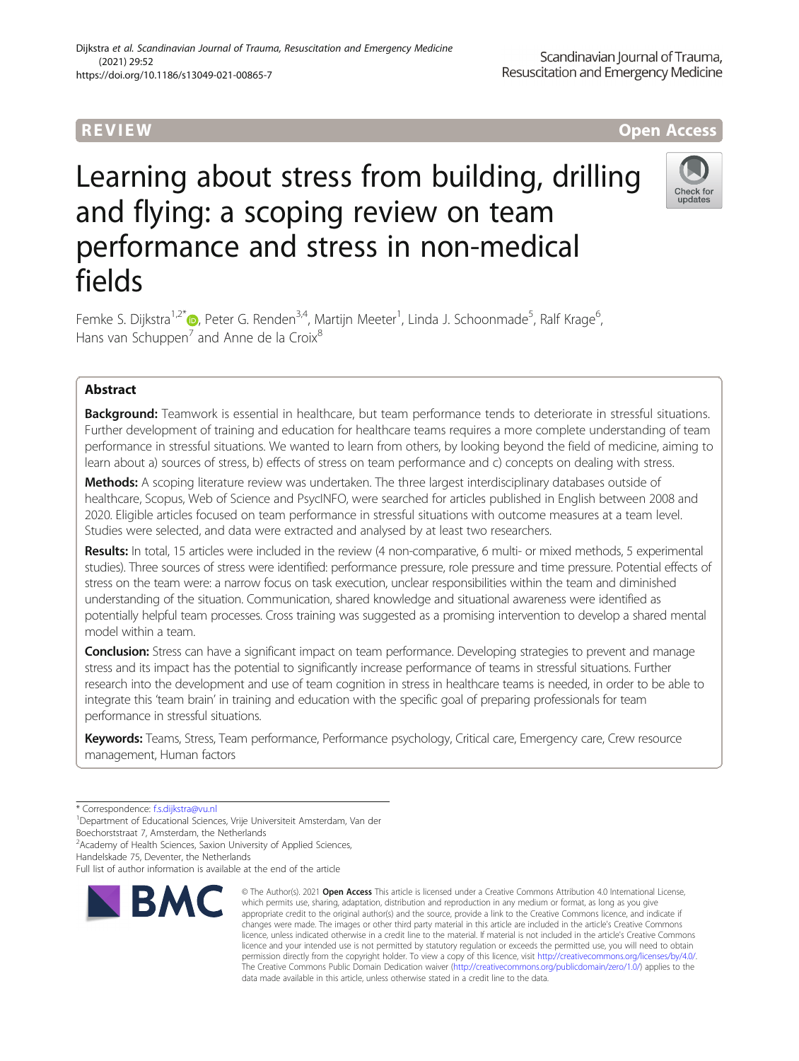## Dijkstra et al. Scandinavian Journal of Trauma, Resuscitation and Emergency Medicine (2021) 29:52 https://doi.org/10.1186/s13049-021-00865-7

# **REVIEW CONSTRUCTION CONSTRUCTION CONSTRUCTS**

# Learning about stress from building, drilling and flying: a scoping review on team performance and stress in non-medical fields

Check for undate

Femke S. Dijkstra<sup>1,2[\\*](http://orcid.org/0000-0003-2131-2743)</sup>®, Peter G. Renden<sup>3,4</sup>, Martijn Meeter<sup>1</sup>, Linda J. Schoonmade<sup>5</sup>, Ralf Krage<sup>6</sup> , Hans van Schuppen $^7$  and Anne de la Croix $^8$ 

## Abstract

Background: Teamwork is essential in healthcare, but team performance tends to deteriorate in stressful situations. Further development of training and education for healthcare teams requires a more complete understanding of team performance in stressful situations. We wanted to learn from others, by looking beyond the field of medicine, aiming to learn about a) sources of stress, b) effects of stress on team performance and c) concepts on dealing with stress.

Methods: A scoping literature review was undertaken. The three largest interdisciplinary databases outside of healthcare, Scopus, Web of Science and PsycINFO, were searched for articles published in English between 2008 and 2020. Eligible articles focused on team performance in stressful situations with outcome measures at a team level. Studies were selected, and data were extracted and analysed by at least two researchers.

Results: In total, 15 articles were included in the review (4 non-comparative, 6 multi- or mixed methods, 5 experimental studies). Three sources of stress were identified: performance pressure, role pressure and time pressure. Potential effects of stress on the team were: a narrow focus on task execution, unclear responsibilities within the team and diminished understanding of the situation. Communication, shared knowledge and situational awareness were identified as potentially helpful team processes. Cross training was suggested as a promising intervention to develop a shared mental model within a team.

Conclusion: Stress can have a significant impact on team performance. Developing strategies to prevent and manage stress and its impact has the potential to significantly increase performance of teams in stressful situations. Further research into the development and use of team cognition in stress in healthcare teams is needed, in order to be able to integrate this 'team brain' in training and education with the specific goal of preparing professionals for team performance in stressful situations.

Keywords: Teams, Stress, Team performance, Performance psychology, Critical care, Emergency care, Crew resource management, Human factors

\* Correspondence: [f.s.dijkstra@vu.nl](mailto:f.s.dijkstra@vu.nl) <sup>1</sup>

<sup>1</sup> Department of Educational Sciences, Vrije Universiteit Amsterdam, Van der

Boechorststraat 7, Amsterdam, the Netherlands

<sup>2</sup> Academy of Health Sciences, Saxion University of Applied Sciences,

Handelskade 75, Deventer, the Netherlands

Full list of author information is available at the end of the article



<sup>©</sup> The Author(s), 2021 **Open Access** This article is licensed under a Creative Commons Attribution 4.0 International License, which permits use, sharing, adaptation, distribution and reproduction in any medium or format, as long as you give appropriate credit to the original author(s) and the source, provide a link to the Creative Commons licence, and indicate if changes were made. The images or other third party material in this article are included in the article's Creative Commons licence, unless indicated otherwise in a credit line to the material. If material is not included in the article's Creative Commons licence and your intended use is not permitted by statutory regulation or exceeds the permitted use, you will need to obtain permission directly from the copyright holder. To view a copy of this licence, visit [http://creativecommons.org/licenses/by/4.0/.](http://creativecommons.org/licenses/by/4.0/) The Creative Commons Public Domain Dedication waiver [\(http://creativecommons.org/publicdomain/zero/1.0/](http://creativecommons.org/publicdomain/zero/1.0/)) applies to the data made available in this article, unless otherwise stated in a credit line to the data.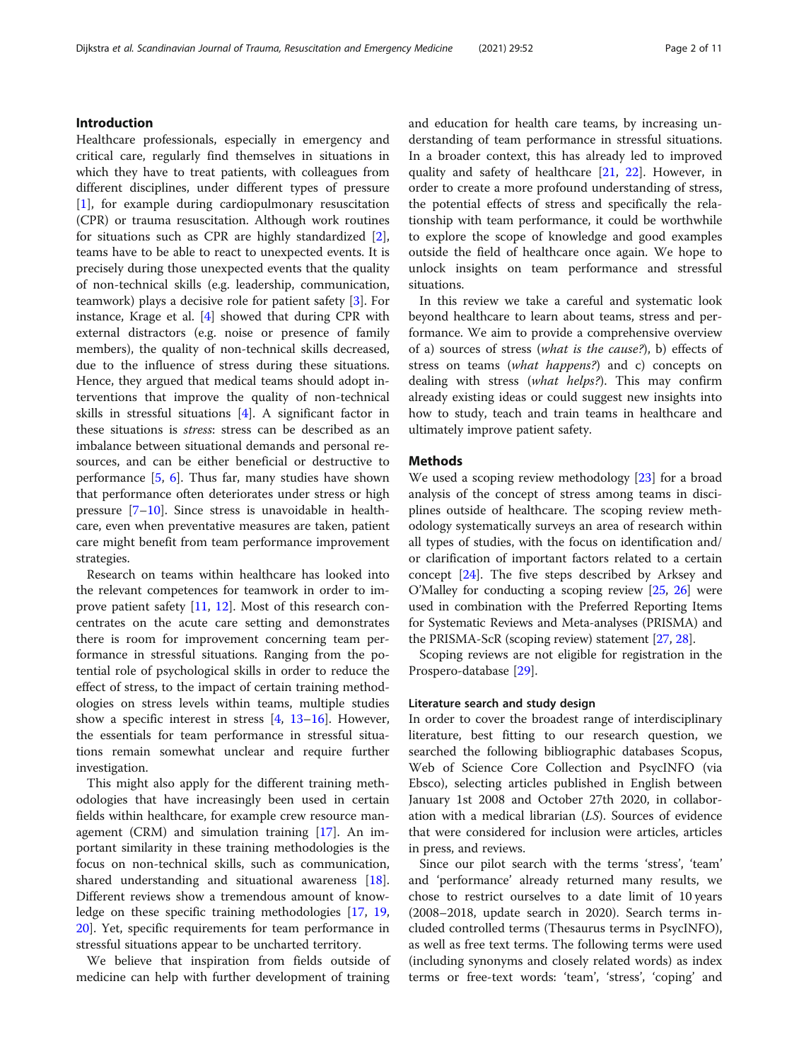## Introduction

Healthcare professionals, especially in emergency and critical care, regularly find themselves in situations in which they have to treat patients, with colleagues from different disciplines, under different types of pressure [[1\]](#page-9-0), for example during cardiopulmonary resuscitation (CPR) or trauma resuscitation. Although work routines for situations such as CPR are highly standardized [\[2](#page-9-0)], teams have to be able to react to unexpected events. It is precisely during those unexpected events that the quality of non-technical skills (e.g. leadership, communication, teamwork) plays a decisive role for patient safety [\[3](#page-9-0)]. For instance, Krage et al. [\[4](#page-9-0)] showed that during CPR with external distractors (e.g. noise or presence of family members), the quality of non-technical skills decreased, due to the influence of stress during these situations. Hence, they argued that medical teams should adopt interventions that improve the quality of non-technical skills in stressful situations [\[4](#page-9-0)]. A significant factor in these situations is stress: stress can be described as an imbalance between situational demands and personal resources, and can be either beneficial or destructive to performance [[5,](#page-9-0) [6\]](#page-9-0). Thus far, many studies have shown that performance often deteriorates under stress or high pressure [[7](#page-9-0)–[10\]](#page-9-0). Since stress is unavoidable in healthcare, even when preventative measures are taken, patient care might benefit from team performance improvement strategies.

Research on teams within healthcare has looked into the relevant competences for teamwork in order to improve patient safety [\[11,](#page-9-0) [12](#page-9-0)]. Most of this research concentrates on the acute care setting and demonstrates there is room for improvement concerning team performance in stressful situations. Ranging from the potential role of psychological skills in order to reduce the effect of stress, to the impact of certain training methodologies on stress levels within teams, multiple studies show a specific interest in stress [[4,](#page-9-0) [13](#page-9-0)–[16\]](#page-9-0). However, the essentials for team performance in stressful situations remain somewhat unclear and require further investigation.

This might also apply for the different training methodologies that have increasingly been used in certain fields within healthcare, for example crew resource management (CRM) and simulation training [\[17](#page-9-0)]. An important similarity in these training methodologies is the focus on non-technical skills, such as communication, shared understanding and situational awareness [\[18](#page-9-0)]. Different reviews show a tremendous amount of knowledge on these specific training methodologies [\[17,](#page-9-0) [19](#page-9-0), [20\]](#page-9-0). Yet, specific requirements for team performance in stressful situations appear to be uncharted territory.

We believe that inspiration from fields outside of medicine can help with further development of training and education for health care teams, by increasing understanding of team performance in stressful situations. In a broader context, this has already led to improved quality and safety of healthcare [\[21](#page-9-0), [22](#page-9-0)]. However, in order to create a more profound understanding of stress, the potential effects of stress and specifically the relationship with team performance, it could be worthwhile to explore the scope of knowledge and good examples outside the field of healthcare once again. We hope to unlock insights on team performance and stressful situations.

In this review we take a careful and systematic look beyond healthcare to learn about teams, stress and performance. We aim to provide a comprehensive overview of a) sources of stress (what is the cause?), b) effects of stress on teams (what happens?) and c) concepts on dealing with stress (what helps?). This may confirm already existing ideas or could suggest new insights into how to study, teach and train teams in healthcare and ultimately improve patient safety.

## **Methods**

We used a scoping review methodology [\[23\]](#page-9-0) for a broad analysis of the concept of stress among teams in disciplines outside of healthcare. The scoping review methodology systematically surveys an area of research within all types of studies, with the focus on identification and/ or clarification of important factors related to a certain concept [\[24\]](#page-9-0). The five steps described by Arksey and O'Malley for conducting a scoping review [[25](#page-9-0), [26](#page-9-0)] were used in combination with the Preferred Reporting Items for Systematic Reviews and Meta-analyses (PRISMA) and the PRISMA-ScR (scoping review) statement [\[27](#page-9-0), [28](#page-9-0)].

Scoping reviews are not eligible for registration in the Prospero-database [[29\]](#page-9-0).

## Literature search and study design

In order to cover the broadest range of interdisciplinary literature, best fitting to our research question, we searched the following bibliographic databases Scopus, Web of Science Core Collection and PsycINFO (via Ebsco), selecting articles published in English between January 1st 2008 and October 27th 2020, in collaboration with a medical librarian (LS). Sources of evidence that were considered for inclusion were articles, articles in press, and reviews.

Since our pilot search with the terms 'stress', 'team' and 'performance' already returned many results, we chose to restrict ourselves to a date limit of 10 years (2008–2018, update search in 2020). Search terms included controlled terms (Thesaurus terms in PsycINFO), as well as free text terms. The following terms were used (including synonyms and closely related words) as index terms or free-text words: 'team', 'stress', 'coping' and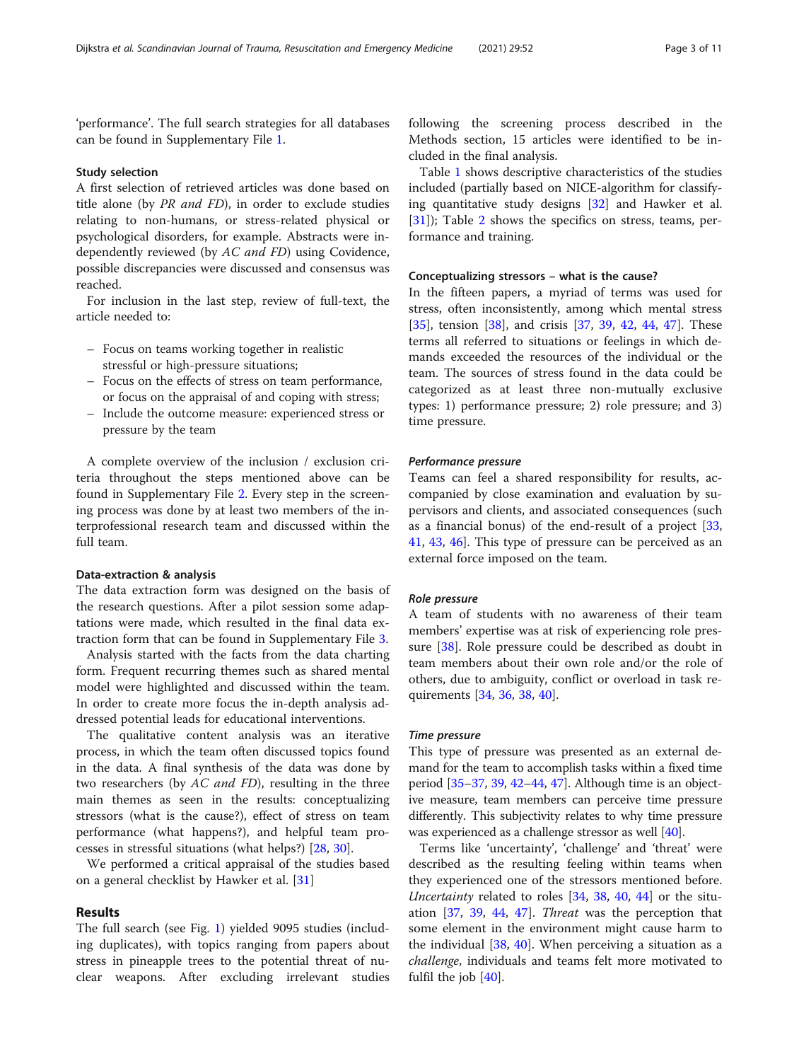'performance'. The full search strategies for all databases can be found in Supplementary File [1.](#page-8-0)

## Study selection

A first selection of retrieved articles was done based on title alone (by PR and FD), in order to exclude studies relating to non-humans, or stress-related physical or psychological disorders, for example. Abstracts were independently reviewed (by AC and FD) using Covidence, possible discrepancies were discussed and consensus was reached.

For inclusion in the last step, review of full-text, the article needed to:

- Focus on teams working together in realistic stressful or high-pressure situations;
- Focus on the effects of stress on team performance, or focus on the appraisal of and coping with stress;
- Include the outcome measure: experienced stress or pressure by the team

A complete overview of the inclusion / exclusion criteria throughout the steps mentioned above can be found in Supplementary File [2](#page-8-0). Every step in the screening process was done by at least two members of the interprofessional research team and discussed within the full team.

## Data-extraction & analysis

The data extraction form was designed on the basis of the research questions. After a pilot session some adaptations were made, which resulted in the final data extraction form that can be found in Supplementary File [3](#page-8-0).

Analysis started with the facts from the data charting form. Frequent recurring themes such as shared mental model were highlighted and discussed within the team. In order to create more focus the in-depth analysis addressed potential leads for educational interventions.

The qualitative content analysis was an iterative process, in which the team often discussed topics found in the data. A final synthesis of the data was done by two researchers (by AC and FD), resulting in the three main themes as seen in the results: conceptualizing stressors (what is the cause?), effect of stress on team performance (what happens?), and helpful team processes in stressful situations (what helps?) [[28,](#page-9-0) [30](#page-9-0)].

We performed a critical appraisal of the studies based on a general checklist by Hawker et al. [\[31](#page-9-0)]

## Results

The full search (see Fig. [1\)](#page-3-0) yielded 9095 studies (including duplicates), with topics ranging from papers about stress in pineapple trees to the potential threat of nuclear weapons. After excluding irrelevant studies

following the screening process described in the Methods section, 15 articles were identified to be included in the final analysis.

Table [1](#page-4-0) shows descriptive characteristics of the studies included (partially based on NICE-algorithm for classifying quantitative study designs [\[32](#page-9-0)] and Hawker et al. [[31\]](#page-9-0)); Table [2](#page-5-0) shows the specifics on stress, teams, performance and training.

## Conceptualizing stressors – what is the cause?

In the fifteen papers, a myriad of terms was used for stress, often inconsistently, among which mental stress [[35\]](#page-9-0), tension [\[38](#page-10-0)], and crisis [[37](#page-10-0), [39,](#page-10-0) [42,](#page-10-0) [44,](#page-10-0) [47\]](#page-10-0). These terms all referred to situations or feelings in which demands exceeded the resources of the individual or the team. The sources of stress found in the data could be categorized as at least three non-mutually exclusive types: 1) performance pressure; 2) role pressure; and 3) time pressure.

## Performance pressure

Teams can feel a shared responsibility for results, accompanied by close examination and evaluation by supervisors and clients, and associated consequences (such as a financial bonus) of the end-result of a project [[33](#page-9-0), [41,](#page-10-0) [43,](#page-10-0) [46](#page-10-0)]. This type of pressure can be perceived as an external force imposed on the team.

## Role pressure

A team of students with no awareness of their team members' expertise was at risk of experiencing role pressure [[38\]](#page-10-0). Role pressure could be described as doubt in team members about their own role and/or the role of others, due to ambiguity, conflict or overload in task requirements [[34,](#page-9-0) [36,](#page-9-0) [38,](#page-10-0) [40](#page-10-0)].

## Time pressure

This type of pressure was presented as an external demand for the team to accomplish tasks within a fixed time period [\[35](#page-9-0)–[37](#page-10-0), [39,](#page-10-0) [42](#page-10-0)–[44,](#page-10-0) [47](#page-10-0)]. Although time is an objective measure, team members can perceive time pressure differently. This subjectivity relates to why time pressure was experienced as a challenge stressor as well [[40\]](#page-10-0).

Terms like 'uncertainty', 'challenge' and 'threat' were described as the resulting feeling within teams when they experienced one of the stressors mentioned before. Uncertainty related to roles [[34,](#page-9-0) [38](#page-10-0), [40](#page-10-0), [44\]](#page-10-0) or the situation [\[37](#page-10-0), [39](#page-10-0), [44,](#page-10-0) [47\]](#page-10-0). Threat was the perception that some element in the environment might cause harm to the individual [[38,](#page-10-0) [40](#page-10-0)]. When perceiving a situation as a challenge, individuals and teams felt more motivated to fulfil the job [\[40\]](#page-10-0).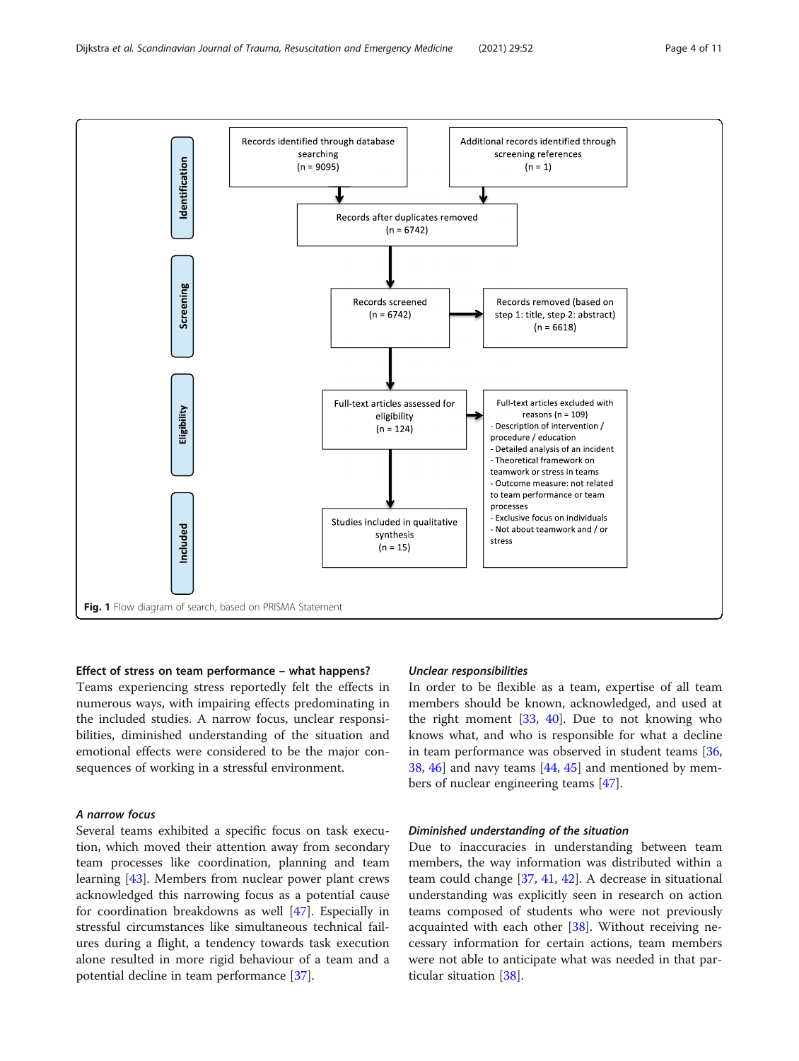<span id="page-3-0"></span>

## Effect of stress on team performance – what happens?

Teams experiencing stress reportedly felt the effects in numerous ways, with impairing effects predominating in the included studies. A narrow focus, unclear responsibilities, diminished understanding of the situation and emotional effects were considered to be the major consequences of working in a stressful environment.

## A narrow focus

Several teams exhibited a specific focus on task execution, which moved their attention away from secondary team processes like coordination, planning and team learning [\[43](#page-10-0)]. Members from nuclear power plant crews acknowledged this narrowing focus as a potential cause for coordination breakdowns as well [[47\]](#page-10-0). Especially in stressful circumstances like simultaneous technical failures during a flight, a tendency towards task execution alone resulted in more rigid behaviour of a team and a potential decline in team performance [\[37](#page-10-0)].

## Unclear responsibilities

In order to be flexible as a team, expertise of all team members should be known, acknowledged, and used at the right moment  $[33, 40]$  $[33, 40]$  $[33, 40]$  $[33, 40]$ . Due to not knowing who knows what, and who is responsible for what a decline in team performance was observed in student teams [[36](#page-9-0), [38,](#page-10-0) [46\]](#page-10-0) and navy teams [[44,](#page-10-0) [45\]](#page-10-0) and mentioned by members of nuclear engineering teams [\[47](#page-10-0)].

## Diminished understanding of the situation

Due to inaccuracies in understanding between team members, the way information was distributed within a team could change [[37](#page-10-0), [41,](#page-10-0) [42\]](#page-10-0). A decrease in situational understanding was explicitly seen in research on action teams composed of students who were not previously acquainted with each other [[38\]](#page-10-0). Without receiving necessary information for certain actions, team members were not able to anticipate what was needed in that particular situation [\[38](#page-10-0)].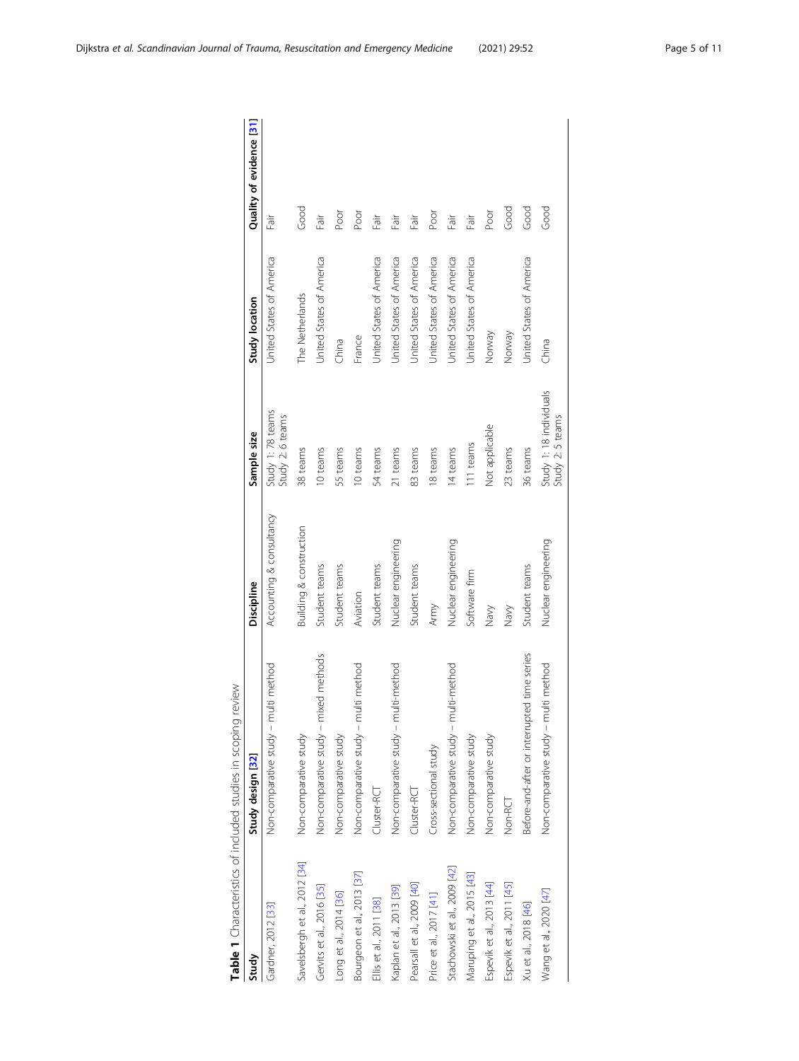<span id="page-4-0"></span>

| Table 1 Characteristics of included studies in scoping | review                                      |                                    |                                            |                                 |                          |
|--------------------------------------------------------|---------------------------------------------|------------------------------------|--------------------------------------------|---------------------------------|--------------------------|
| Study                                                  | Study design [32]                           | Discipline                         | Sample size                                | Study location                  | Quality of evidence [31] |
| Gardner, 2012 [33]                                     | Non-comparative study - multi method        | Accounting & consultancy           | Study 1: 78 teams<br>Study 2: 6 teams      | United States of America        | Ti6                      |
| Savelsbergh et al., 2012 [34]                          | Non-comparative study                       | <b>Building &amp; construction</b> | 38 teams                                   | The Netherlands                 | Good                     |
| Gervits et al., 2016 [35]                              | Non-comparative study - mixed methods       | Student teams                      | 10 teams                                   | Jnited States of America        | Fāir                     |
| Long et al., 2014 [36]                                 | Non-comparative study                       | Student teams                      | 55 teams                                   | China                           | Poor                     |
| Bourgeon et al., 2013 [37]                             | Non-comparative study - multi method        | Aviation                           | 10 teams                                   | France                          | Poor                     |
| Ellis et al., 2011 [38]                                | Cluster-RCT                                 | Student teams                      | 54 teams                                   | Jnited States of America        | Fāir                     |
| Kaplan et al., 2013 [39]                               | Non-comparative study - multi-method        | Nuclear engineering                | 21 teams                                   | Jnited States of America        | Fāir                     |
| Pearsall et al., 2009 [40]                             | Cluster-RCT                                 | Student teams                      | 83 teams                                   | <b>Jnited States of America</b> | Fair                     |
| Price et al., 2017 [41]                                | Cross-sectional study                       | Army                               | 18 teams                                   | Jnited States of America        | poor                     |
| Stachowski et al., 2009 [42]                           | Non-comparative study - multi-method        | Nuclear engineering                | 14 teams                                   | Jnited States of America        | Ti6-1                    |
| Maruping et al., 2015 [43]                             | Non-comparative study                       | Software firm                      | 111 teams                                  | Jnited States of America        | Fair                     |
| Espevik et al., 2013 [44]                              | Non-comparative study                       | Navy                               | Not applicable                             | Norway                          | Poor                     |
| Espevik et al., 2011 [45]                              | Non-RCT                                     | Navy                               | 23 teams                                   | Norway                          | Good                     |
| Xu et al., 2018 [46]                                   | Before-and-after or interrupted time series | Student teams                      | 36 teams                                   | Jnited States of America        | Good                     |
| Wang et al., 2020 [47]                                 | Non-comparative study - multi method        | Nuclear engineering                | Study 1:18 individuals<br>Study 2: 5 teams | China                           | Good                     |
|                                                        |                                             |                                    |                                            |                                 |                          |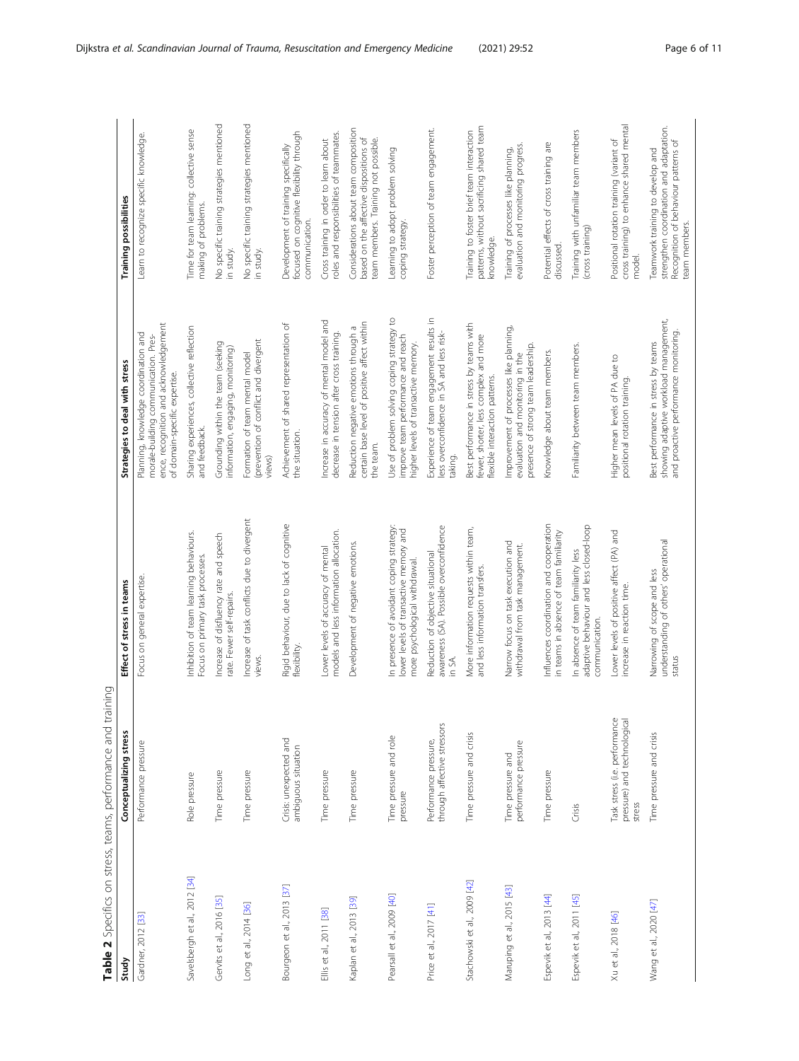<span id="page-5-0"></span>

| Table 2 Specifics on stress, teams, performance and training |                                                                        |                                                                                                                      |                                                                                                                                                        |                                                                                                                                      |
|--------------------------------------------------------------|------------------------------------------------------------------------|----------------------------------------------------------------------------------------------------------------------|--------------------------------------------------------------------------------------------------------------------------------------------------------|--------------------------------------------------------------------------------------------------------------------------------------|
| Study                                                        | Conceptualizing stress                                                 | Effect of stress in teams                                                                                            | Strategies to deal with stress                                                                                                                         | Training possibilities                                                                                                               |
| Gardner, 2012 [33]                                           | Performance pressure                                                   | Focus on general expertise.                                                                                          | ence, recognition and acknowledgement<br>Planning, knowledge coordination and<br>morale-building communication. Pres-<br>of domain-specific expertise. | Learn to recognize specific knowledge.                                                                                               |
| Savelsbergh et al., 2012 [34]                                | Role pressure                                                          | Inhibition of team learning behaviours.<br>Focus on primary task processes.                                          | Sharing experiences, collective reflection<br>and feedback.                                                                                            | Time for team learning: collective sense<br>making of problems.                                                                      |
| Gervits et al., 2016 [35]                                    | Time pressure                                                          | Increase of disfluency rate and speech<br>rate. Fewer self-repairs.                                                  | Grounding within the team (seeking<br>information, engaging, monitoring)                                                                               | No specific training strategies mentioned<br>in study.                                                                               |
| Long et al., 2014 [36]                                       | Time pressure                                                          | Increase of task conflicts due to divergent<br>views.                                                                | (prevention of conflict and divergent<br>Formation of team mental model<br>views)                                                                      | No specific training strategies mentioned<br>in study.                                                                               |
| Bourgeon et al., 2013 [37]                                   | Crisis: unexpected and<br>ambiguous situation                          | Rigid behaviour, due to lack of cognitive<br>flexibility.                                                            | Achievement of shared representation of<br>the situation.                                                                                              | focused on cognitive flexibility through<br>Development of training specifically<br>communication.                                   |
| Ellis et al., 2011 [38]                                      | Time pressure                                                          | models and less information allocation.<br>Lower levels of accuracy of mental                                        | Increase in accuracy of mental model and<br>decrease in tension after cross training.                                                                  | oles and responsibilities of teammates.<br>Cross training in order to learn about                                                    |
| Kaplan et al., 2013 [39]                                     | Time pressure                                                          | Development of negative emotions.                                                                                    | certain base level of positive affect within<br>Reduction negative emotions through a<br>the team.                                                     | Considerations about team composition<br>based on the affective dispositions of<br>team members. Training not possible.              |
| Pearsall et al., 2009 [40]                                   | Time pressure and role<br>pressure                                     | In presence of avoidant coping strategy:<br>lower levels of transactive memory and<br>more psychological withdrawal. | Use of problem solving coping strategy to<br>improve team performance and reach<br>higher levels of transactive memory.                                | Learning to adopt problem solving<br>coping strategy.                                                                                |
| Price et al., 2017 [41]                                      | through affective stressors<br>Performance pressure,                   | awareness (SA). Possible overconfidence<br>Reduction of objective situational<br>in SA.                              | Experience of team engagement results in<br>less overconfidence in SA and less risk-<br>taking.                                                        | Foster perception of team engagement.                                                                                                |
| Stachowski et al., 2009 [42]                                 | Time pressure and crisis                                               | More information requests within team,<br>and less information transfers.                                            | Best performance in stress by teams with<br>fewer, shorter, less complex and more<br>flexible interaction patterns.                                    | patterns, without sacrificing shared team<br>Training to foster brief team interaction<br>knowledge.                                 |
| Maruping et al., 2015 [43]                                   | performance pressure<br>Time pressure and                              | Narrow focus on task execution and<br>withdrawal from task management.                                               | Improvement of processes like planning,<br>presence of strong team leadership.<br>evaluation and monitoring in the                                     | evaluation and monitoring progress.<br>Training of processes like planning,                                                          |
| Espevik et al., 2013 [44]                                    | Time pressure                                                          | Influences coordination and cooperation<br>in teams in absence of team familiarity                                   | Knowledge about team members.                                                                                                                          | Potential effects of cross training are<br>discussed.                                                                                |
| Espevik et al., 2011 [45]                                    | Crisis                                                                 | adaptive behaviour and less closed-loop<br>In absence of team familiarity less<br>communication.                     | Familiarity between team members.                                                                                                                      | Training with unfamiliar team members<br>(cross training)                                                                            |
| Xu et al., 2018 [46]                                         | Task stress (i.e. performance<br>pressure) and technological<br>stress | Lower levels of positive affect (PA) and<br>increase in reaction time.                                               | Higher mean levels of PA due to<br>positional rotation training.                                                                                       | cross training) to enhance shared mental<br>Positional rotation training (variant of<br>model.                                       |
| Wang et al., 2020 [47]                                       | Time pressure and crisis                                               | understanding of others' operational<br>Narrowing of scope and less<br>status                                        | showing adaptive workload management,<br>and proactive performance monitoring.<br>Best performance in stress by teams                                  | strengthen coordination and adaptation.<br>Recognition of behaviour patterns of<br>Teamwork training to develop and<br>team members. |

- È ''∈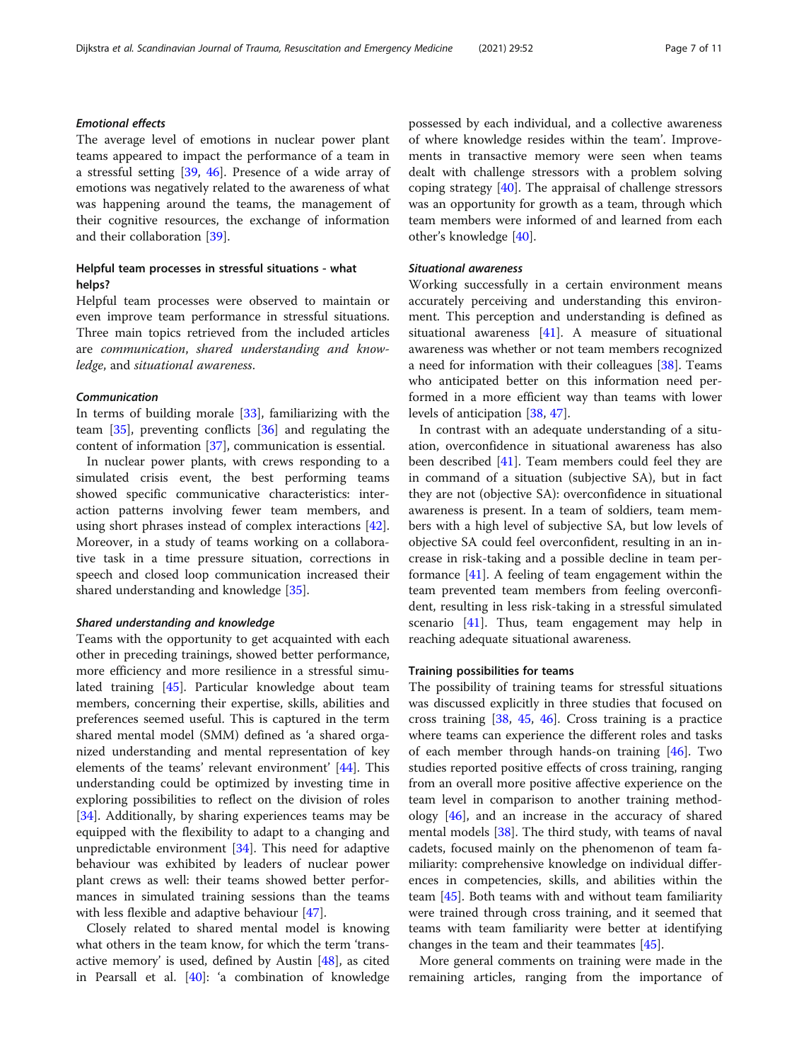## Emotional effects

The average level of emotions in nuclear power plant teams appeared to impact the performance of a team in a stressful setting [[39](#page-10-0), [46\]](#page-10-0). Presence of a wide array of emotions was negatively related to the awareness of what was happening around the teams, the management of their cognitive resources, the exchange of information and their collaboration [\[39](#page-10-0)].

## Helpful team processes in stressful situations - what helps?

Helpful team processes were observed to maintain or even improve team performance in stressful situations. Three main topics retrieved from the included articles are communication, shared understanding and knowledge, and situational awareness.

## Communication

In terms of building morale [[33\]](#page-9-0), familiarizing with the team [[35\]](#page-9-0), preventing conflicts [[36\]](#page-9-0) and regulating the content of information [\[37](#page-10-0)], communication is essential.

In nuclear power plants, with crews responding to a simulated crisis event, the best performing teams showed specific communicative characteristics: interaction patterns involving fewer team members, and using short phrases instead of complex interactions [\[42](#page-10-0)]. Moreover, in a study of teams working on a collaborative task in a time pressure situation, corrections in speech and closed loop communication increased their shared understanding and knowledge [[35\]](#page-9-0).

## Shared understanding and knowledge

Teams with the opportunity to get acquainted with each other in preceding trainings, showed better performance, more efficiency and more resilience in a stressful simulated training [[45\]](#page-10-0). Particular knowledge about team members, concerning their expertise, skills, abilities and preferences seemed useful. This is captured in the term shared mental model (SMM) defined as 'a shared organized understanding and mental representation of key elements of the teams' relevant environment' [\[44](#page-10-0)]. This understanding could be optimized by investing time in exploring possibilities to reflect on the division of roles [[34\]](#page-9-0). Additionally, by sharing experiences teams may be equipped with the flexibility to adapt to a changing and unpredictable environment  $[34]$ . This need for adaptive behaviour was exhibited by leaders of nuclear power plant crews as well: their teams showed better performances in simulated training sessions than the teams with less flexible and adaptive behaviour [\[47](#page-10-0)].

Closely related to shared mental model is knowing what others in the team know, for which the term 'transactive memory' is used, defined by Austin  $[48]$  $[48]$ , as cited in Pearsall et al. [[40\]](#page-10-0): 'a combination of knowledge possessed by each individual, and a collective awareness of where knowledge resides within the team'. Improvements in transactive memory were seen when teams dealt with challenge stressors with a problem solving coping strategy [\[40](#page-10-0)]. The appraisal of challenge stressors was an opportunity for growth as a team, through which team members were informed of and learned from each other's knowledge [[40\]](#page-10-0).

## Situational awareness

Working successfully in a certain environment means accurately perceiving and understanding this environment. This perception and understanding is defined as situational awareness [[41\]](#page-10-0). A measure of situational awareness was whether or not team members recognized a need for information with their colleagues [[38\]](#page-10-0). Teams who anticipated better on this information need performed in a more efficient way than teams with lower levels of anticipation [\[38](#page-10-0), [47\]](#page-10-0).

In contrast with an adequate understanding of a situation, overconfidence in situational awareness has also been described [\[41](#page-10-0)]. Team members could feel they are in command of a situation (subjective SA), but in fact they are not (objective SA): overconfidence in situational awareness is present. In a team of soldiers, team members with a high level of subjective SA, but low levels of objective SA could feel overconfident, resulting in an increase in risk-taking and a possible decline in team performance [[41\]](#page-10-0). A feeling of team engagement within the team prevented team members from feeling overconfident, resulting in less risk-taking in a stressful simulated scenario [\[41](#page-10-0)]. Thus, team engagement may help in reaching adequate situational awareness.

## Training possibilities for teams

The possibility of training teams for stressful situations was discussed explicitly in three studies that focused on cross training [[38,](#page-10-0) [45](#page-10-0), [46\]](#page-10-0). Cross training is a practice where teams can experience the different roles and tasks of each member through hands-on training [\[46\]](#page-10-0). Two studies reported positive effects of cross training, ranging from an overall more positive affective experience on the team level in comparison to another training methodology [[46\]](#page-10-0), and an increase in the accuracy of shared mental models [\[38](#page-10-0)]. The third study, with teams of naval cadets, focused mainly on the phenomenon of team familiarity: comprehensive knowledge on individual differences in competencies, skills, and abilities within the team [\[45](#page-10-0)]. Both teams with and without team familiarity were trained through cross training, and it seemed that teams with team familiarity were better at identifying changes in the team and their teammates [\[45\]](#page-10-0).

More general comments on training were made in the remaining articles, ranging from the importance of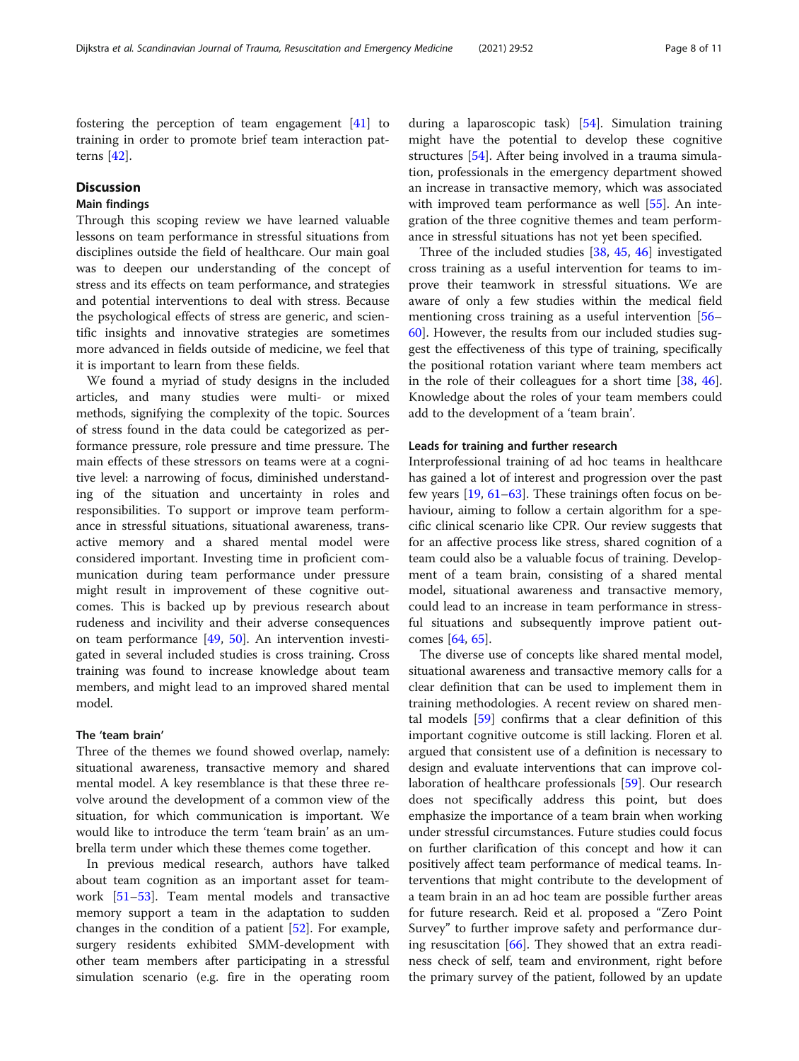fostering the perception of team engagement [[41](#page-10-0)] to training in order to promote brief team interaction patterns [\[42](#page-10-0)].

## **Discussion**

## Main findings

Through this scoping review we have learned valuable lessons on team performance in stressful situations from disciplines outside the field of healthcare. Our main goal was to deepen our understanding of the concept of stress and its effects on team performance, and strategies and potential interventions to deal with stress. Because the psychological effects of stress are generic, and scientific insights and innovative strategies are sometimes more advanced in fields outside of medicine, we feel that it is important to learn from these fields.

We found a myriad of study designs in the included articles, and many studies were multi- or mixed methods, signifying the complexity of the topic. Sources of stress found in the data could be categorized as performance pressure, role pressure and time pressure. The main effects of these stressors on teams were at a cognitive level: a narrowing of focus, diminished understanding of the situation and uncertainty in roles and responsibilities. To support or improve team performance in stressful situations, situational awareness, transactive memory and a shared mental model were considered important. Investing time in proficient communication during team performance under pressure might result in improvement of these cognitive outcomes. This is backed up by previous research about rudeness and incivility and their adverse consequences on team performance [[49,](#page-10-0) [50\]](#page-10-0). An intervention investigated in several included studies is cross training. Cross training was found to increase knowledge about team members, and might lead to an improved shared mental model.

## The 'team brain'

Three of the themes we found showed overlap, namely: situational awareness, transactive memory and shared mental model. A key resemblance is that these three revolve around the development of a common view of the situation, for which communication is important. We would like to introduce the term 'team brain' as an umbrella term under which these themes come together.

In previous medical research, authors have talked about team cognition as an important asset for teamwork [\[51](#page-10-0)–[53\]](#page-10-0). Team mental models and transactive memory support a team in the adaptation to sudden changes in the condition of a patient [\[52\]](#page-10-0). For example, surgery residents exhibited SMM-development with other team members after participating in a stressful simulation scenario (e.g. fire in the operating room during a laparoscopic task) [[54](#page-10-0)]. Simulation training might have the potential to develop these cognitive structures [[54\]](#page-10-0). After being involved in a trauma simulation, professionals in the emergency department showed an increase in transactive memory, which was associated with improved team performance as well [\[55](#page-10-0)]. An integration of the three cognitive themes and team performance in stressful situations has not yet been specified.

Three of the included studies [\[38](#page-10-0), [45,](#page-10-0) [46\]](#page-10-0) investigated cross training as a useful intervention for teams to improve their teamwork in stressful situations. We are aware of only a few studies within the medical field mentioning cross training as a useful intervention [[56](#page-10-0)– [60\]](#page-10-0). However, the results from our included studies suggest the effectiveness of this type of training, specifically the positional rotation variant where team members act in the role of their colleagues for a short time [[38](#page-10-0), [46](#page-10-0)]. Knowledge about the roles of your team members could add to the development of a 'team brain'.

## Leads for training and further research

Interprofessional training of ad hoc teams in healthcare has gained a lot of interest and progression over the past few years [[19](#page-9-0), [61](#page-10-0)–[63](#page-10-0)]. These trainings often focus on behaviour, aiming to follow a certain algorithm for a specific clinical scenario like CPR. Our review suggests that for an affective process like stress, shared cognition of a team could also be a valuable focus of training. Development of a team brain, consisting of a shared mental model, situational awareness and transactive memory, could lead to an increase in team performance in stressful situations and subsequently improve patient outcomes [[64,](#page-10-0) [65](#page-10-0)].

The diverse use of concepts like shared mental model, situational awareness and transactive memory calls for a clear definition that can be used to implement them in training methodologies. A recent review on shared mental models [\[59](#page-10-0)] confirms that a clear definition of this important cognitive outcome is still lacking. Floren et al. argued that consistent use of a definition is necessary to design and evaluate interventions that can improve collaboration of healthcare professionals [[59\]](#page-10-0). Our research does not specifically address this point, but does emphasize the importance of a team brain when working under stressful circumstances. Future studies could focus on further clarification of this concept and how it can positively affect team performance of medical teams. Interventions that might contribute to the development of a team brain in an ad hoc team are possible further areas for future research. Reid et al. proposed a "Zero Point Survey" to further improve safety and performance during resuscitation [[66\]](#page-10-0). They showed that an extra readiness check of self, team and environment, right before the primary survey of the patient, followed by an update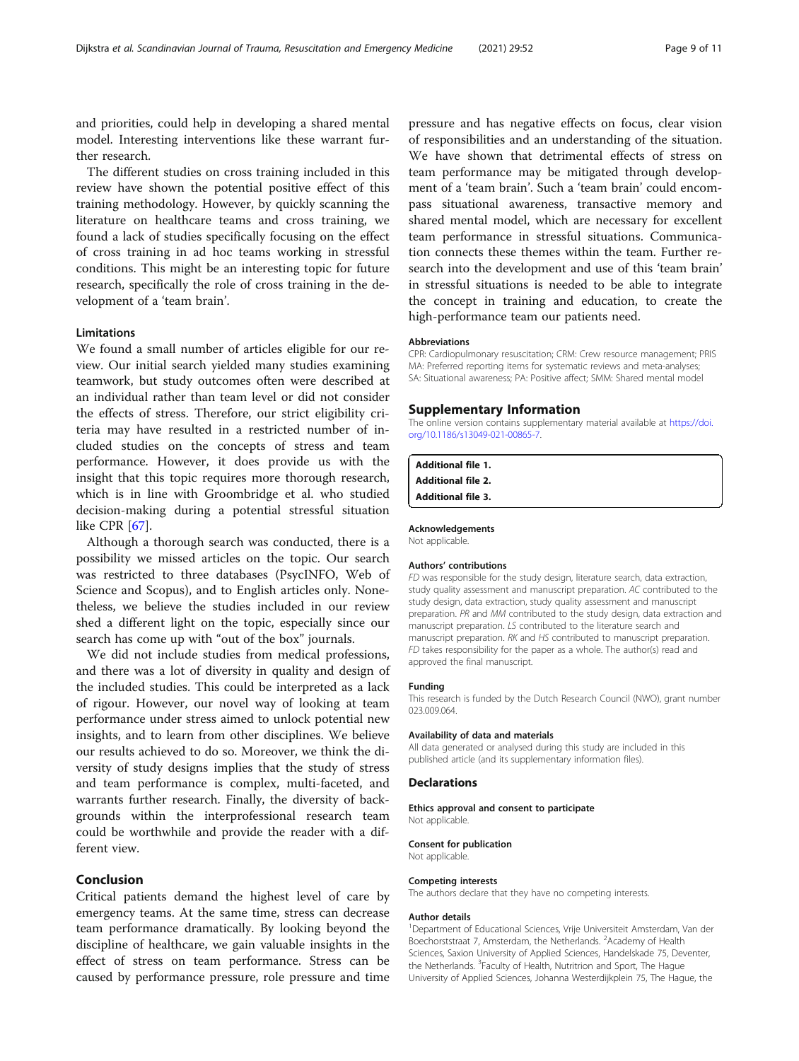<span id="page-8-0"></span>and priorities, could help in developing a shared mental model. Interesting interventions like these warrant further research.

The different studies on cross training included in this review have shown the potential positive effect of this training methodology. However, by quickly scanning the literature on healthcare teams and cross training, we found a lack of studies specifically focusing on the effect of cross training in ad hoc teams working in stressful conditions. This might be an interesting topic for future research, specifically the role of cross training in the development of a 'team brain'.

## Limitations

We found a small number of articles eligible for our review. Our initial search yielded many studies examining teamwork, but study outcomes often were described at an individual rather than team level or did not consider the effects of stress. Therefore, our strict eligibility criteria may have resulted in a restricted number of included studies on the concepts of stress and team performance. However, it does provide us with the insight that this topic requires more thorough research, which is in line with Groombridge et al. who studied decision-making during a potential stressful situation like CPR [\[67](#page-10-0)].

Although a thorough search was conducted, there is a possibility we missed articles on the topic. Our search was restricted to three databases (PsycINFO, Web of Science and Scopus), and to English articles only. Nonetheless, we believe the studies included in our review shed a different light on the topic, especially since our search has come up with "out of the box" journals.

We did not include studies from medical professions, and there was a lot of diversity in quality and design of the included studies. This could be interpreted as a lack of rigour. However, our novel way of looking at team performance under stress aimed to unlock potential new insights, and to learn from other disciplines. We believe our results achieved to do so. Moreover, we think the diversity of study designs implies that the study of stress and team performance is complex, multi-faceted, and warrants further research. Finally, the diversity of backgrounds within the interprofessional research team could be worthwhile and provide the reader with a different view.

## Conclusion

Critical patients demand the highest level of care by emergency teams. At the same time, stress can decrease team performance dramatically. By looking beyond the discipline of healthcare, we gain valuable insights in the effect of stress on team performance. Stress can be caused by performance pressure, role pressure and time

pressure and has negative effects on focus, clear vision of responsibilities and an understanding of the situation. We have shown that detrimental effects of stress on team performance may be mitigated through development of a 'team brain'. Such a 'team brain' could encompass situational awareness, transactive memory and shared mental model, which are necessary for excellent team performance in stressful situations. Communication connects these themes within the team. Further research into the development and use of this 'team brain' in stressful situations is needed to be able to integrate the concept in training and education, to create the high-performance team our patients need.

#### Abbreviations

CPR: Cardiopulmonary resuscitation; CRM: Crew resource management; PRIS MA: Preferred reporting items for systematic reviews and meta-analyses; SA: Situational awareness; PA: Positive affect; SMM: Shared mental model

#### Supplementary Information

The online version contains supplementary material available at [https://doi.](https://doi.org/10.1186/s13049-021-00865-7) [org/10.1186/s13049-021-00865-7.](https://doi.org/10.1186/s13049-021-00865-7)

| <b>Additional file 1.</b> |
|---------------------------|
| <b>Additional file 2.</b> |
| <b>Additional file 3.</b> |

### Acknowledgements

Not applicable.

## Authors' contributions

FD was responsible for the study design, literature search, data extraction, study quality assessment and manuscript preparation. AC contributed to the study design, data extraction, study quality assessment and manuscript preparation. PR and MM contributed to the study design, data extraction and manuscript preparation. LS contributed to the literature search and manuscript preparation. RK and HS contributed to manuscript preparation. FD takes responsibility for the paper as a whole. The author(s) read and approved the final manuscript.

#### Funding

This research is funded by the Dutch Research Council (NWO), grant number 023.009.064.

#### Availability of data and materials

All data generated or analysed during this study are included in this published article (and its supplementary information files).

#### Declarations

#### Ethics approval and consent to participate

Not applicable.

## Consent for publication

Not applicable.

#### Competing interests

The authors declare that they have no competing interests.

#### Author details

<sup>1</sup>Department of Educational Sciences, Vrije Universiteit Amsterdam, Van der Boechorststraat 7, Amsterdam, the Netherlands. <sup>2</sup>Academy of Health Sciences, Saxion University of Applied Sciences, Handelskade 75, Deventer, the Netherlands. <sup>3</sup> Faculty of Health, Nutritrion and Sport, The Hague University of Applied Sciences, Johanna Westerdijkplein 75, The Hague, the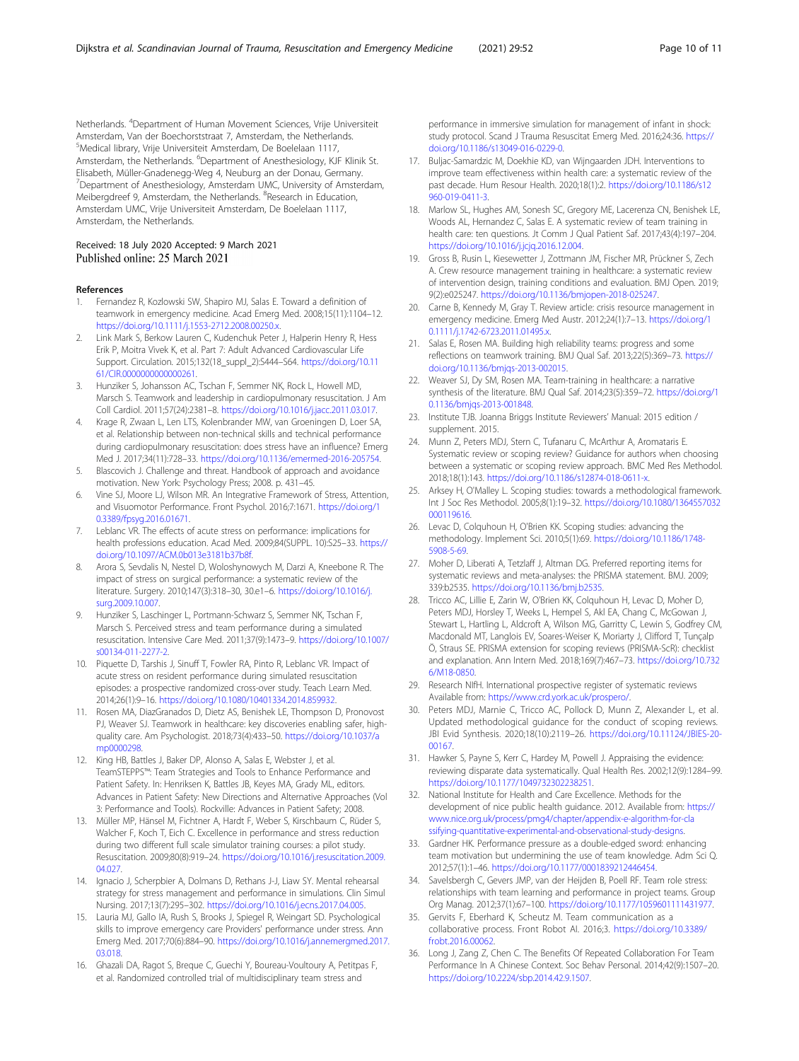<span id="page-9-0"></span>Netherlands. <sup>4</sup>Department of Human Movement Sciences, Vrije Universiteit Amsterdam, Van der Boechorststraat 7, Amsterdam, the Netherlands. 5 Medical library, Vrije Universiteit Amsterdam, De Boelelaan 1117, Amsterdam, the Netherlands. <sup>6</sup>Department of Anesthesiology, KJF Klinik St. Elisabeth, Müller-Gnadenegg-Weg 4, Neuburg an der Donau, Germany. <sup>7</sup>Department of Anesthesiology, Amsterdam UMC, University of Amsterdam, Meibergdreef 9, Amsterdam, the Netherlands. <sup>8</sup>Research in Education, Amsterdam UMC, Vrije Universiteit Amsterdam, De Boelelaan 1117, Amsterdam, the Netherlands.

## Received: 18 July 2020 Accepted: 9 March 2021 Published online: 25 March 2021

#### References

- 1. Fernandez R, Kozlowski SW, Shapiro MJ, Salas E. Toward a definition of teamwork in emergency medicine. Acad Emerg Med. 2008;15(11):1104–12. <https://doi.org/10.1111/j.1553-2712.2008.00250.x>.
- 2. Link Mark S, Berkow Lauren C, Kudenchuk Peter J, Halperin Henry R, Hess Erik P, Moitra Vivek K, et al. Part 7: Adult Advanced Cardiovascular Life Support. Circulation. 2015;132(18\_suppl\_2):S444–S64. [https://doi.org/10.11](https://doi.org/10.1161/CIR.0000000000000261) [61/CIR.0000000000000261.](https://doi.org/10.1161/CIR.0000000000000261)
- 3. Hunziker S, Johansson AC, Tschan F, Semmer NK, Rock L, Howell MD, Marsch S. Teamwork and leadership in cardiopulmonary resuscitation. J Am Coll Cardiol. 2011;57(24):2381–8. <https://doi.org/10.1016/j.jacc.2011.03.017>.
- 4. Krage R, Zwaan L, Len LTS, Kolenbrander MW, van Groeningen D, Loer SA, et al. Relationship between non-technical skills and technical performance during cardiopulmonary resuscitation: does stress have an influence? Emerg Med J. 2017;34(11):728–33. [https://doi.org/10.1136/emermed-2016-205754.](https://doi.org/10.1136/emermed-2016-205754)
- 5. Blascovich J. Challenge and threat. Handbook of approach and avoidance motivation. New York: Psychology Press; 2008. p. 431–45.
- 6. Vine SJ, Moore LJ, Wilson MR. An Integrative Framework of Stress, Attention, and Visuomotor Performance. Front Psychol. 2016;7:1671. [https://doi.org/1](https://doi.org/10.3389/fpsyg.2016.01671) [0.3389/fpsyg.2016.01671.](https://doi.org/10.3389/fpsyg.2016.01671)
- 7. Leblanc VR. The effects of acute stress on performance: implications for health professions education. Acad Med. 2009;84(SUPPL. 10):S25–33. [https://](https://doi.org/10.1097/ACM.0b013e3181b37b8f) [doi.org/10.1097/ACM.0b013e3181b37b8f](https://doi.org/10.1097/ACM.0b013e3181b37b8f).
- 8. Arora S, Sevdalis N, Nestel D, Woloshynowych M, Darzi A, Kneebone R. The impact of stress on surgical performance: a systematic review of the literature. Surgery. 2010;147(3):318–30, 30.e1–6. [https://doi.org/10.1016/j.](https://doi.org/10.1016/j.surg.2009.10.007) [surg.2009.10.007](https://doi.org/10.1016/j.surg.2009.10.007).
- Hunziker S, Laschinger L, Portmann-Schwarz S, Semmer NK, Tschan F, Marsch S. Perceived stress and team performance during a simulated resuscitation. Intensive Care Med. 2011;37(9):1473–9. [https://doi.org/10.1007/](https://doi.org/10.1007/s00134-011-2277-2) [s00134-011-2277-2.](https://doi.org/10.1007/s00134-011-2277-2)
- 10. Piquette D, Tarshis J, Sinuff T, Fowler RA, Pinto R, Leblanc VR. Impact of acute stress on resident performance during simulated resuscitation episodes: a prospective randomized cross-over study. Teach Learn Med. 2014;26(1):9–16. [https://doi.org/10.1080/10401334.2014.859932.](https://doi.org/10.1080/10401334.2014.859932)
- 11. Rosen MA, DiazGranados D, Dietz AS, Benishek LE, Thompson D, Pronovost PJ, Weaver SJ. Teamwork in healthcare: key discoveries enabling safer, highquality care. Am Psychologist. 2018;73(4):433–50. [https://doi.org/10.1037/a](https://doi.org/10.1037/amp0000298) [mp0000298](https://doi.org/10.1037/amp0000298).
- 12. King HB, Battles J, Baker DP, Alonso A, Salas E, Webster J, et al. TeamSTEPPS™: Team Strategies and Tools to Enhance Performance and Patient Safety. In: Henriksen K, Battles JB, Keyes MA, Grady ML, editors. Advances in Patient Safety: New Directions and Alternative Approaches (Vol 3: Performance and Tools). Rockville: Advances in Patient Safety; 2008.
- 13. Müller MP, Hänsel M, Fichtner A, Hardt F, Weber S, Kirschbaum C, Rüder S, Walcher F, Koch T, Eich C. Excellence in performance and stress reduction during two different full scale simulator training courses: a pilot study. Resuscitation. 2009;80(8):919–24. [https://doi.org/10.1016/j.resuscitation.2009.](https://doi.org/10.1016/j.resuscitation.2009.04.027) [04.027.](https://doi.org/10.1016/j.resuscitation.2009.04.027)
- 14. Ignacio J, Scherpbier A, Dolmans D, Rethans J-J, Liaw SY. Mental rehearsal strategy for stress management and performance in simulations. Clin Simul Nursing. 2017;13(7):295–302. <https://doi.org/10.1016/j.ecns.2017.04.005>.
- 15. Lauria MJ, Gallo IA, Rush S, Brooks J, Spiegel R, Weingart SD. Psychological skills to improve emergency care Providers' performance under stress. Ann Emerg Med. 2017;70(6):884–90. [https://doi.org/10.1016/j.annemergmed.2017.](https://doi.org/10.1016/j.annemergmed.2017.03.018) [03.018.](https://doi.org/10.1016/j.annemergmed.2017.03.018)
- 16. Ghazali DA, Ragot S, Breque C, Guechi Y, Boureau-Voultoury A, Petitpas F, et al. Randomized controlled trial of multidisciplinary team stress and

performance in immersive simulation for management of infant in shock: study protocol. Scand J Trauma Resuscitat Emerg Med. 2016;24:36. [https://](https://doi.org/10.1186/s13049-016-0229-0) [doi.org/10.1186/s13049-016-0229-0.](https://doi.org/10.1186/s13049-016-0229-0)

- 17. Buljac-Samardzic M, Doekhie KD, van Wijngaarden JDH. Interventions to improve team effectiveness within health care: a systematic review of the past decade. Hum Resour Health. 2020;18(1):2. [https://doi.org/10.1186/s12](https://doi.org/10.1186/s12960-019-0411-3) [960-019-0411-3.](https://doi.org/10.1186/s12960-019-0411-3)
- 18. Marlow SL, Hughes AM, Sonesh SC, Gregory ME, Lacerenza CN, Benishek LE, Woods AL, Hernandez C, Salas E. A systematic review of team training in health care: ten questions. Jt Comm J Qual Patient Saf. 2017;43(4):197–204. [https://doi.org/10.1016/j.jcjq.2016.12.004.](https://doi.org/10.1016/j.jcjq.2016.12.004)
- 19. Gross B, Rusin L, Kiesewetter J, Zottmann JM, Fischer MR, Prückner S, Zech A. Crew resource management training in healthcare: a systematic review of intervention design, training conditions and evaluation. BMJ Open. 2019; 9(2):e025247. <https://doi.org/10.1136/bmjopen-2018-025247>.
- 20. Carne B, Kennedy M, Gray T. Review article: crisis resource management in emergency medicine. Emerg Med Austr. 2012;24(1):7–13. [https://doi.org/1](https://doi.org/10.1111/j.1742-6723.2011.01495.x) [0.1111/j.1742-6723.2011.01495.x.](https://doi.org/10.1111/j.1742-6723.2011.01495.x)
- 21. Salas E, Rosen MA. Building high reliability teams: progress and some reflections on teamwork training. BMJ Qual Saf. 2013;22(5):369–73. [https://](https://doi.org/10.1136/bmjqs-2013-002015) [doi.org/10.1136/bmjqs-2013-002015](https://doi.org/10.1136/bmjqs-2013-002015).
- 22. Weaver SJ, Dy SM, Rosen MA. Team-training in healthcare: a narrative synthesis of the literature. BMJ Qual Saf. 2014;23(5):359–72. [https://doi.org/1](https://doi.org/10.1136/bmjqs-2013-001848) [0.1136/bmjqs-2013-001848](https://doi.org/10.1136/bmjqs-2013-001848).
- 23. Institute TJB. Joanna Briggs Institute Reviewers' Manual: 2015 edition / supplement. 2015.
- 24. Munn Z, Peters MDJ, Stern C, Tufanaru C, McArthur A, Aromataris E. Systematic review or scoping review? Guidance for authors when choosing between a systematic or scoping review approach. BMC Med Res Methodol. 2018;18(1):143. <https://doi.org/10.1186/s12874-018-0611-x>.
- 25. Arksey H, O'Malley L. Scoping studies: towards a methodological framework. Int J Soc Res Methodol. 2005;8(1):19–32. [https://doi.org/10.1080/1364557032](https://doi.org/10.1080/1364557032000119616) [000119616](https://doi.org/10.1080/1364557032000119616).
- 26. Levac D, Colquhoun H, O'Brien KK. Scoping studies: advancing the methodology. Implement Sci. 2010;5(1):69. [https://doi.org/10.1186/1748-](https://doi.org/10.1186/1748-5908-5-69) [5908-5-69.](https://doi.org/10.1186/1748-5908-5-69)
- 27. Moher D, Liberati A, Tetzlaff J, Altman DG. Preferred reporting items for systematic reviews and meta-analyses: the PRISMA statement. BMJ. 2009; 339:b2535. <https://doi.org/10.1136/bmj.b2535>.
- 28. Tricco AC, Lillie E, Zarin W, O'Brien KK, Colquhoun H, Levac D, Moher D, Peters MDJ, Horsley T, Weeks L, Hempel S, Akl EA, Chang C, McGowan J, Stewart L, Hartling L, Aldcroft A, Wilson MG, Garritty C, Lewin S, Godfrey CM, Macdonald MT, Langlois EV, Soares-Weiser K, Moriarty J, Clifford T, Tunçalp Ö, Straus SE. PRISMA extension for scoping reviews (PRISMA-ScR): checklist and explanation. Ann Intern Med. 2018;169(7):467–73. [https://doi.org/10.732](https://doi.org/10.7326/M18-0850) [6/M18-0850.](https://doi.org/10.7326/M18-0850)
- 29. Research NIfH. International prospective register of systematic reviews Available from: <https://www.crd.york.ac.uk/prospero/>.
- 30. Peters MDJ, Marnie C, Tricco AC, Pollock D, Munn Z, Alexander L, et al. Updated methodological guidance for the conduct of scoping reviews. JBI Evid Synthesis. 2020;18(10):2119–26. [https://doi.org/10.11124/JBIES-20-](https://doi.org/10.11124/JBIES-20-00167) [00167](https://doi.org/10.11124/JBIES-20-00167).
- 31. Hawker S, Payne S, Kerr C, Hardey M, Powell J. Appraising the evidence: reviewing disparate data systematically. Qual Health Res. 2002;12(9):1284–99. [https://doi.org/10.1177/1049732302238251.](https://doi.org/10.1177/1049732302238251)
- 32. National Institute for Health and Care Excellence. Methods for the development of nice public health guidance. 2012. Available from: [https://](https://www.nice.org.uk/process/pmg4/chapter/appendix-e-algorithm-for-classifying-quantitative-experimental-and-observational-study-designs) [www.nice.org.uk/process/pmg4/chapter/appendix-e-algorithm-for-cla](https://www.nice.org.uk/process/pmg4/chapter/appendix-e-algorithm-for-classifying-quantitative-experimental-and-observational-study-designs) [ssifying-quantitative-experimental-and-observational-study-designs.](https://www.nice.org.uk/process/pmg4/chapter/appendix-e-algorithm-for-classifying-quantitative-experimental-and-observational-study-designs)
- 33. Gardner HK. Performance pressure as a double-edged sword: enhancing team motivation but undermining the use of team knowledge. Adm Sci Q. 2012;57(1):1–46. [https://doi.org/10.1177/0001839212446454.](https://doi.org/10.1177/0001839212446454)
- 34. Savelsbergh C, Gevers JMP, van der Heijden B, Poell RF. Team role stress: relationships with team learning and performance in project teams. Group Org Manag. 2012;37(1):67–100. <https://doi.org/10.1177/1059601111431977>.
- 35. Gervits F, Eberhard K, Scheutz M. Team communication as a collaborative process. Front Robot AI. 2016;3. [https://doi.org/10.3389/](https://doi.org/10.3389/frobt.2016.00062) [frobt.2016.00062.](https://doi.org/10.3389/frobt.2016.00062)
- 36. Long J, Zang Z, Chen C. The Benefits Of Repeated Collaboration For Team Performance In A Chinese Context. Soc Behav Personal. 2014;42(9):1507–20. [https://doi.org/10.2224/sbp.2014.42.9.1507.](https://doi.org/10.2224/sbp.2014.42.9.1507)